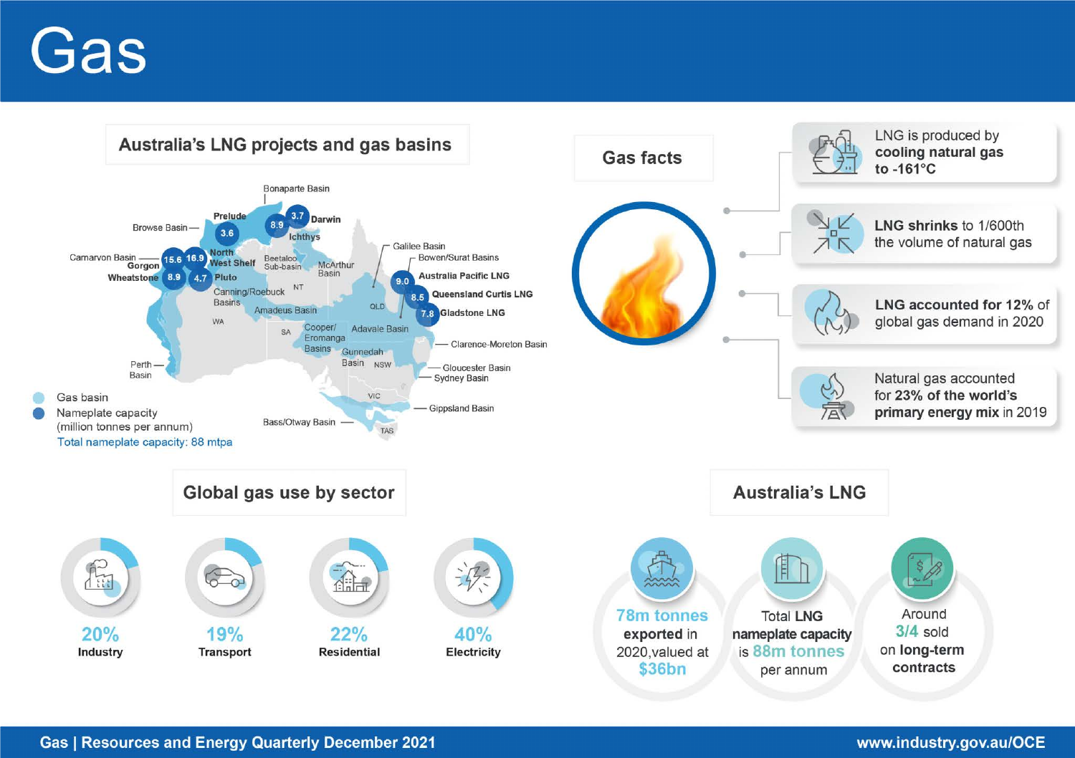# Gas

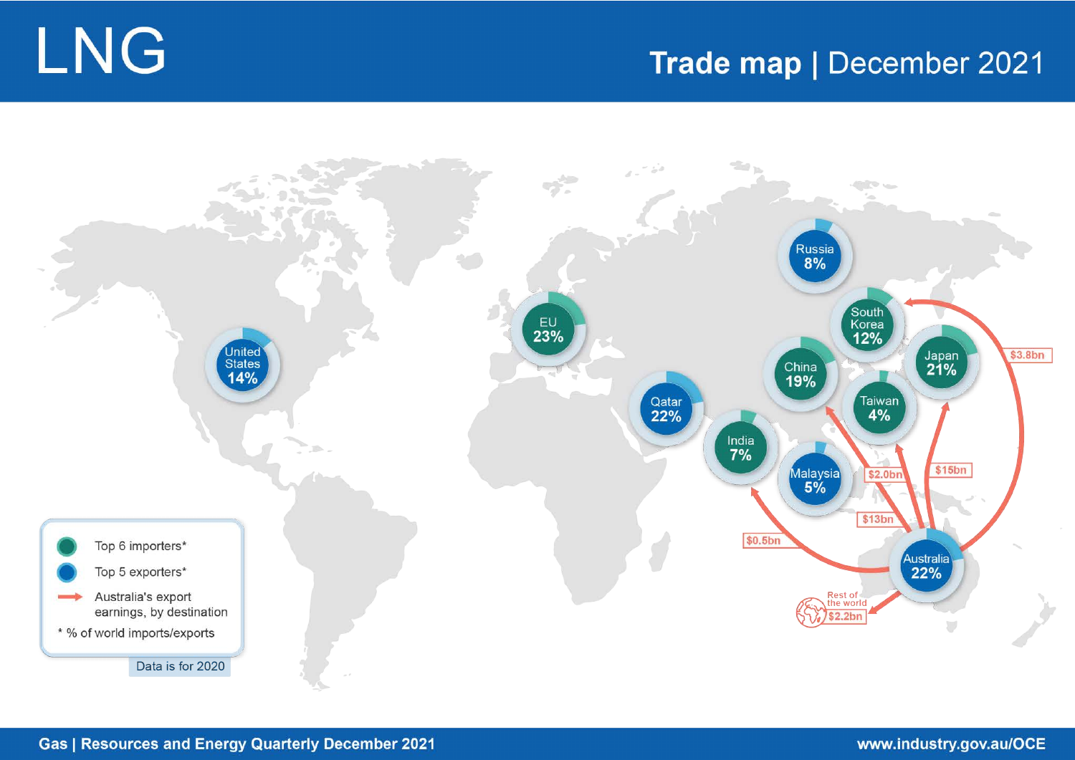# Trade map | December 2021





# **Gas | Resources and Energy Quarterly December 2021**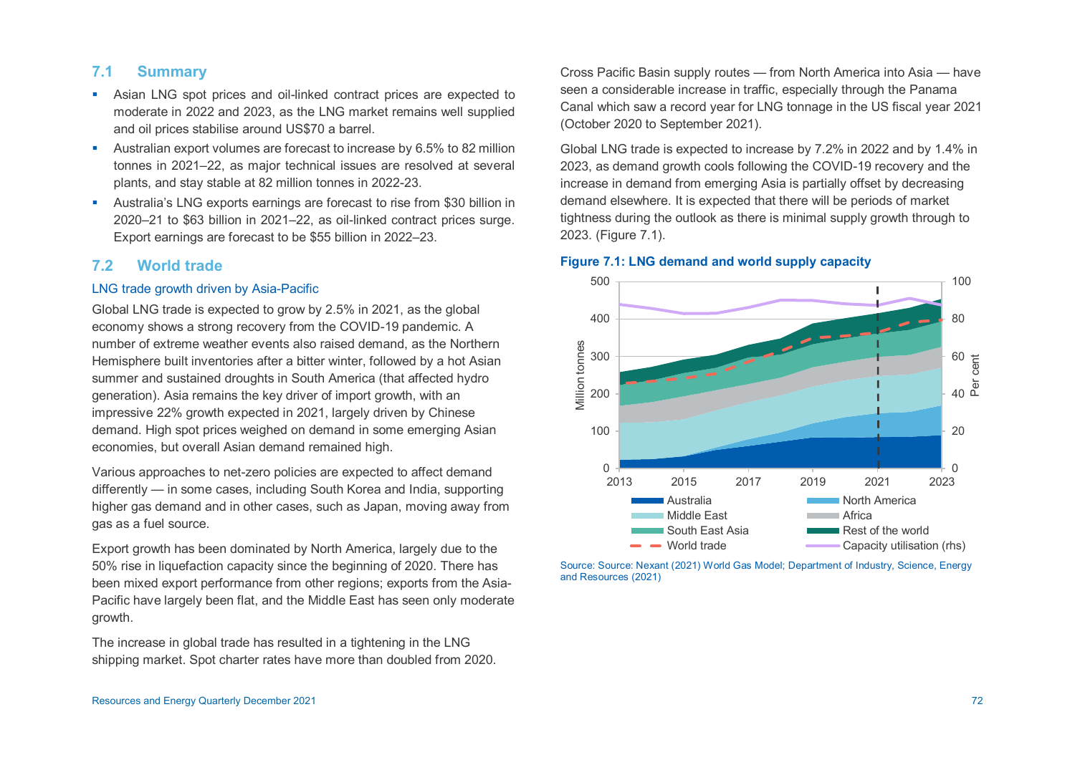# **7.1 Summary**

- Asian LNG spot prices and oil-linked contract prices are expected to moderate in 2022 and 2023, as the LNG market remains well supplied and oil prices stabilise around US\$70 a barrel.
- Australian export volumes are forecast to increase by 6.5% to 82 million tonnes in 2021–22, as major technical issues are resolved at several plants, and stay stable at 82 million tonnes in 2022-23.
- Australia's LNG exports earnings are forecast to rise from \$30 billion in 2020–21 to \$63 billion in 2021–22, as oil-linked contract prices surge. Export earnings are forecast to be \$55 billion in 2022–23.

# **7.2 World trade**

#### LNG trade growth driven by Asia-Pacific

Global LNG trade is expected to grow by 2.5% in 2021, as the global economy shows a strong recovery from the COVID-19 pandemic. A number of extreme weather events also raised demand, as the Northern Hemisphere built inventories after a bitter winter, followed by a hot Asian summer and sustained droughts in South America (that affected hydro generation). Asia remains the key driver of import growth, with an impressive 22% growth expected in 2021, largely driven by Chinese demand. High spot prices weighed on demand in some emerging Asian economies, but overall Asian demand remained high.

Various approaches to net-zero policies are expected to affect demand differently — in some cases, including South Korea and India, supporting higher gas demand and in other cases, such as Japan, moving away from gas as a fuel source.

Export growth has been dominated by North America, largely due to the 50% rise in liquefaction capacity since the beginning of 2020. There has been mixed export performance from other regions; exports from the Asia-Pacific have largely been flat, and the Middle East has seen only moderate growth.

The increase in global trade has resulted in a tightening in the LNG shipping market. Spot charter rates have more than doubled from 2020. Cross Pacific Basin supply routes — from North America into Asia — have seen a considerable increase in traffic, especially through the Panama Canal which saw a record year for LNG tonnage in the US fiscal year 2021 (October 2020 to September 2021).

Global LNG trade is expected to increase by 7.2% in 2022 and by 1.4% in 2023, as demand growth cools following the COVID-19 recovery and the increase in demand from emerging Asia is partially offset by decreasing demand elsewhere. It is expected that there will be periods of market tightness during the outlook as there is minimal supply growth through to 2023. (Figure 7.1).





Source: Source: Nexant (2021) World Gas Model; Department of Industry, Science, Energy and Resources (2021)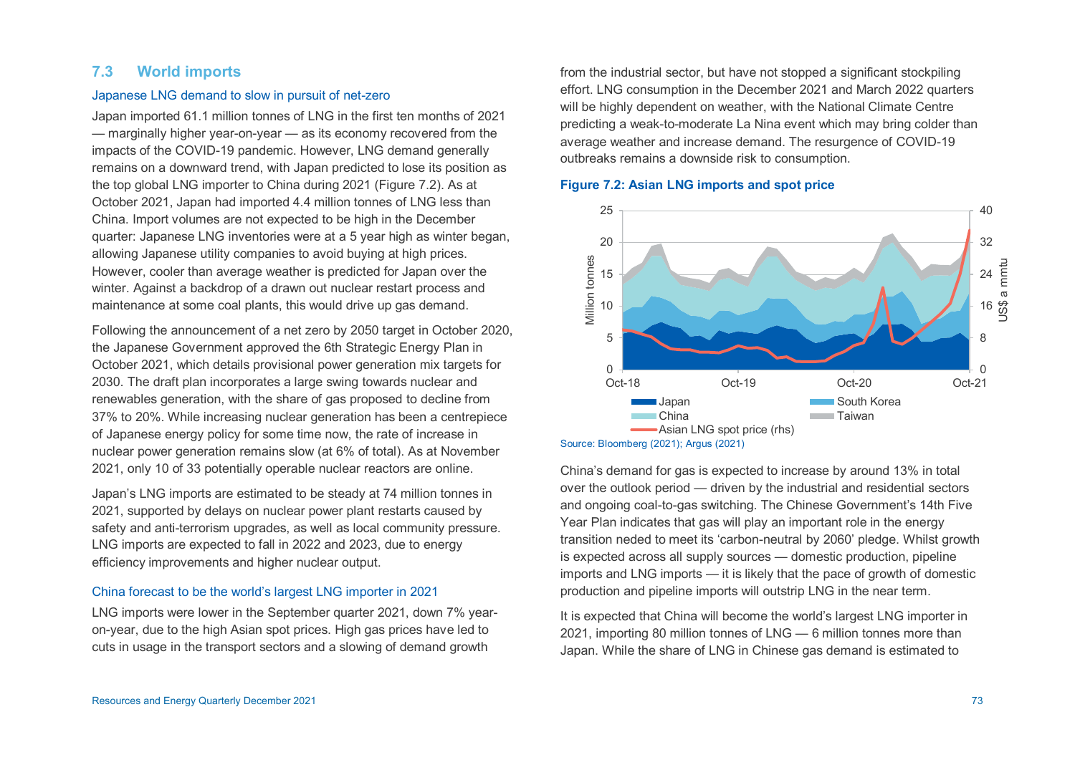# **7.3 World imports**

#### Japanese LNG demand to slow in pursuit of net-zero

Japan imported 61.1 million tonnes of LNG in the first ten months of 2021 — marginally higher year-on-year — as its economy recovered from the impacts of the COVID-19 pandemic. However, LNG demand generally remains on a downward trend, with Japan predicted to lose its position as the top global LNG importer to China during 2021 (Figure 7.2). As at October 2021, Japan had imported 4.4 million tonnes of LNG less than China. Import volumes are not expected to be high in the December quarter: Japanese LNG inventories were at a 5 year high as winter began, allowing Japanese utility companies to avoid buying at high prices. However, cooler than average weather is predicted for Japan over the winter. Against a backdrop of a drawn out nuclear restart process and maintenance at some coal plants, this would drive up gas demand.

Following the announcement of a net zero by 2050 target in October 2020, the Japanese Government approved the 6th Strategic Energy Plan in October 2021, which details provisional power generation mix targets for 2030. The draft plan incorporates a large swing towards nuclear and renewables generation, with the share of gas proposed to decline from 37% to 20%. While increasing nuclear generation has been a centrepiece of Japanese energy policy for some time now, the rate of increase in nuclear power generation remains slow (at 6% of total). As at November 2021, only 10 of 33 potentially operable nuclear reactors are online.

Japan's LNG imports are estimated to be steady at 74 million tonnes in 2021, supported by delays on nuclear power plant restarts caused by safety and anti-terrorism upgrades, as well as local community pressure. LNG imports are expected to fall in 2022 and 2023, due to energy efficiency improvements and higher nuclear output.

#### China forecast to be the world's largest LNG importer in 2021

LNG imports were lower in the September quarter 2021, down 7% yearon-year, due to the high Asian spot prices. High gas prices have led to cuts in usage in the transport sectors and a slowing of demand growth

from the industrial sector, but have not stopped a significant stockpiling effort. LNG consumption in the December 2021 and March 2022 quarters will be highly dependent on weather, with the National Climate Centre predicting a weak-to-moderate La Nina event which may bring colder than average weather and increase demand. The resurgence of COVID-19 outbreaks remains a downside risk to consumption.



#### **Figure 7.2: Asian LNG imports and spot price**

China's demand for gas is expected to increase by around 13% in total over the outlook period — driven by the industrial and residential sectors and ongoing coal-to-gas switching. The Chinese Government's 14th Five Year Plan indicates that gas will play an important role in the energy transition neded to meet its 'carbon-neutral by 2060' pledge. Whilst growth is expected across all supply sources — domestic production, pipeline imports and LNG imports — it is likely that the pace of growth of domestic production and pipeline imports will outstrip LNG in the near term.

It is expected that China will become the world's largest LNG importer in 2021, importing 80 million tonnes of LNG — 6 million tonnes more than Japan. While the share of LNG in Chinese gas demand is estimated to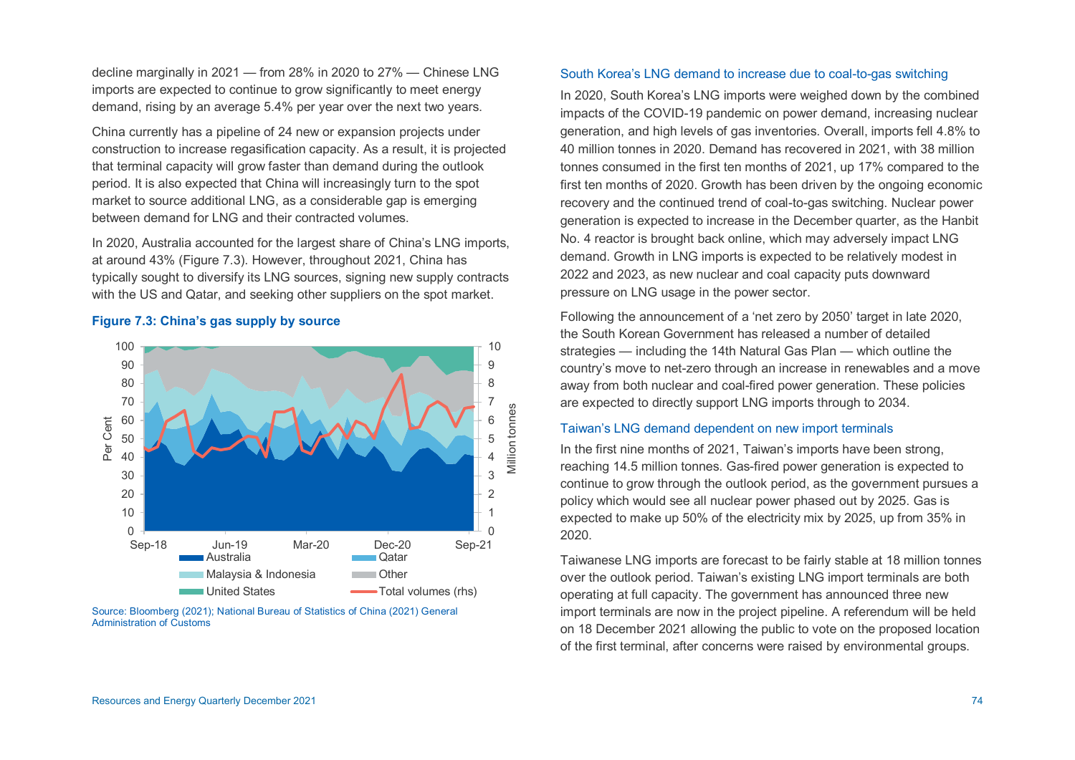decline marginally in 2021 — from 28% in 2020 to 27% — Chinese LNG imports are expected to continue to grow significantly to meet energy demand, rising by an average 5.4% per year over the next two years.

China currently has a pipeline of 24 new or expansion projects under construction to increase regasification capacity. As a result, it is projected that terminal capacity will grow faster than demand during the outlook period. It is also expected that China will increasingly turn to the spot market to source additional LNG, as a considerable gap is emerging between demand for LNG and their contracted volumes.

In 2020, Australia accounted for the largest share of China's LNG imports, at around 43% (Figure 7.3). However, throughout 2021, China has typically sought to diversify its LNG sources, signing new supply contracts with the US and Qatar, and seeking other suppliers on the spot market.



## **Figure 7.3: China's gas supply by source**

Source: Bloomberg (2021); National Bureau of Statistics of China (2021) General Administration of Customs

#### South Korea's LNG demand to increase due to coal-to-gas switching

In 2020, South Korea's LNG imports were weighed down by the combined impacts of the COVID-19 pandemic on power demand, increasing nuclear generation, and high levels of gas inventories. Overall, imports fell 4.8% to 40 million tonnes in 2020. Demand has recovered in 2021, with 38 million tonnes consumed in the first ten months of 2021, up 17% compared to the first ten months of 2020. Growth has been driven by the ongoing economic recovery and the continued trend of coal-to-gas switching. Nuclear power generation is expected to increase in the December quarter, as the Hanbit No. 4 reactor is brought back online, which may adversely impact LNG demand. Growth in LNG imports is expected to be relatively modest in 2022 and 2023, as new nuclear and coal capacity puts downward pressure on LNG usage in the power sector.

Following the announcement of a 'net zero by 2050' target in late 2020, the South Korean Government has released a number of detailed strategies — including the 14th Natural Gas Plan — which outline the country's move to net-zero through an increase in renewables and a move away from both nuclear and coal-fired power generation. These policies are expected to directly support LNG imports through to 2034.

#### Taiwan's LNG demand dependent on new import terminals

In the first nine months of 2021, Taiwan's imports have been strong, reaching 14.5 million tonnes. Gas-fired power generation is expected to continue to grow through the outlook period, as the government pursues a policy which would see all nuclear power phased out by 2025. Gas is expected to make up 50% of the electricity mix by 2025, up from 35% in 2020.

Taiwanese LNG imports are forecast to be fairly stable at 18 million tonnes over the outlook period. Taiwan's existing LNG import terminals are both operating at full capacity. The government has announced three new import terminals are now in the project pipeline. A referendum will be held on 18 December 2021 allowing the public to vote on the proposed location of the first terminal, after concerns were raised by environmental groups.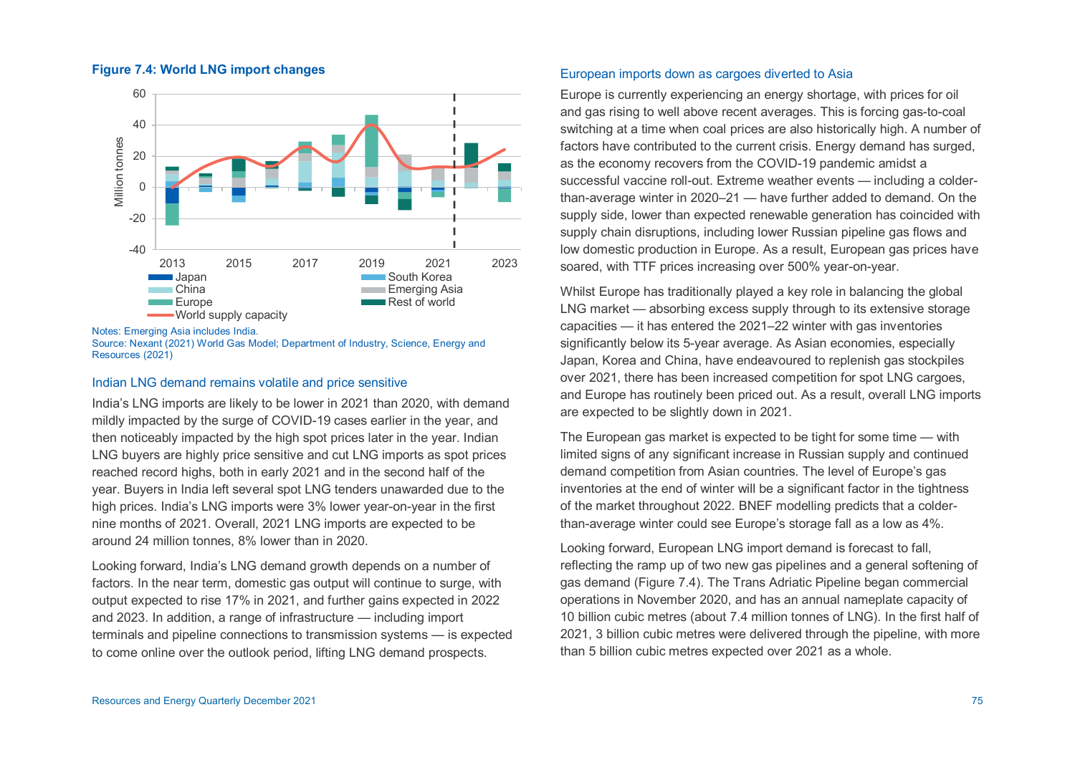#### **Figure 7.4: World LNG import changes**



Notes: Emerging Asia includes India.

# Indian LNG demand remains volatile and price sensitive

India's LNG imports are likely to be lower in 2021 than 2020, with demand mildly impacted by the surge of COVID-19 cases earlier in the year, and then noticeably impacted by the high spot prices later in the year. Indian LNG buyers are highly price sensitive and cut LNG imports as spot prices reached record highs, both in early 2021 and in the second half of the year. Buyers in India left several spot LNG tenders unawarded due to the high prices. India's LNG imports were 3% lower year-on-year in the first nine months of 2021. Overall, 2021 LNG imports are expected to be around 24 million tonnes, 8% lower than in 2020.

Looking forward, India's LNG demand growth depends on a number of factors. In the near term, domestic gas output will continue to surge, with output expected to rise 17% in 2021, and further gains expected in 2022 and 2023. In addition, a range of infrastructure — including import terminals and pipeline connections to transmission systems — is expected to come online over the outlook period, lifting LNG demand prospects.

#### European imports down as cargoes diverted to Asia

Europe is currently experiencing an energy shortage, with prices for oil and gas rising to well above recent averages. This is forcing gas-to-coal switching at a time when coal prices are also historically high. A number of factors have contributed to the current crisis. Energy demand has surged, as the economy recovers from the COVID-19 pandemic amidst a successful vaccine roll-out. Extreme weather events — including a colderthan-average winter in 2020–21 — have further added to demand. On the supply side, lower than expected renewable generation has coincided with supply chain disruptions, including lower Russian pipeline gas flows and low domestic production in Europe. As a result, European gas prices have soared, with TTF prices increasing over 500% year-on-year.

Whilst Europe has traditionally played a key role in balancing the global LNG market — absorbing excess supply through to its extensive storage capacities — it has entered the 2021–22 winter with gas inventories significantly below its 5-year average. As Asian economies, especially Japan, Korea and China, have endeavoured to replenish gas stockpiles over 2021, there has been increased competition for spot LNG cargoes, and Europe has routinely been priced out. As a result, overall LNG imports are expected to be slightly down in 2021.

The European gas market is expected to be tight for some time — with limited signs of any significant increase in Russian supply and continued demand competition from Asian countries. The level of Europe's gas inventories at the end of winter will be a significant factor in the tightness of the market throughout 2022. BNEF modelling predicts that a colderthan-average winter could see Europe's storage fall as a low as 4%.

Looking forward, European LNG import demand is forecast to fall, reflecting the ramp up of two new gas pipelines and a general softening of gas demand (Figure 7.4). The Trans Adriatic Pipeline began commercial operations in November 2020, and has an annual nameplate capacity of 10 billion cubic metres (about 7.4 million tonnes of LNG). In the first half of 2021, 3 billion cubic metres were delivered through the pipeline, with more than 5 billion cubic metres expected over 2021 as a whole.

Source: Nexant (2021) World Gas Model; Department of Industry, Science, Energy and Resources (2021)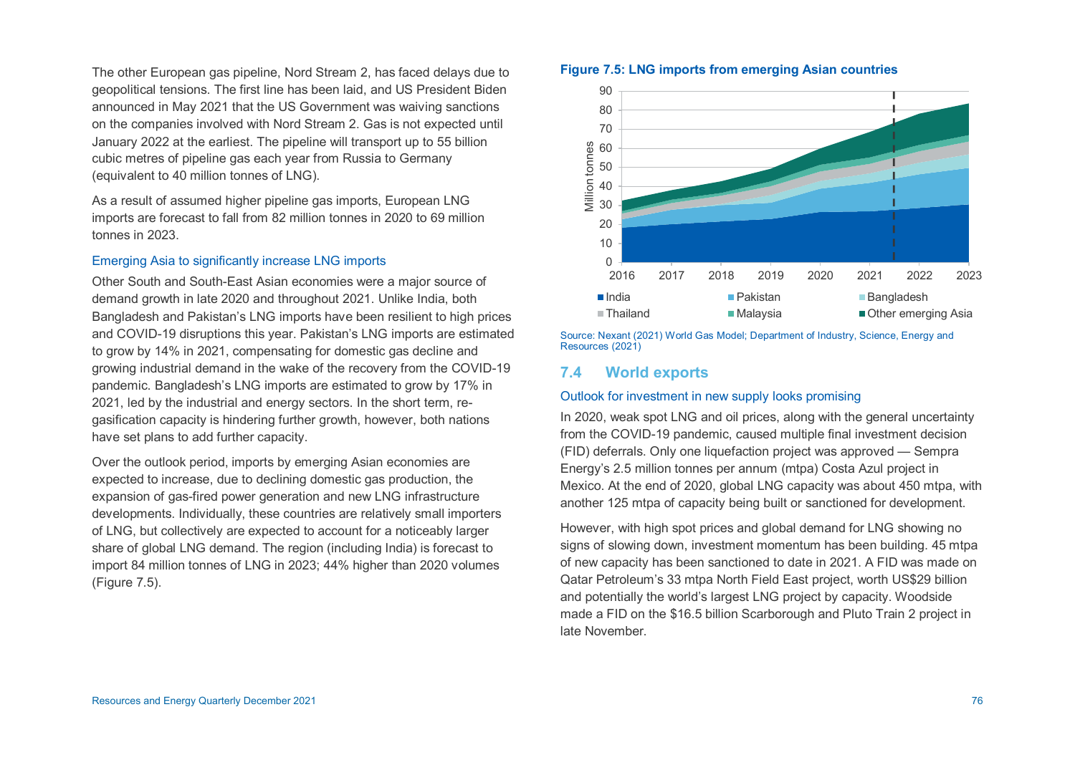The other European gas pipeline, Nord Stream 2, has faced delays due to geopolitical tensions. The first line has been laid, and US President Biden announced in May 2021 that the US Government was waiving sanctions on the companies involved with Nord Stream 2. Gas is not expected until January 2022 at the earliest. The pipeline will transport up to 55 billion cubic metres of pipeline gas each year from Russia to Germany (equivalent to 40 million tonnes of LNG).

As a result of assumed higher pipeline gas imports, European LNG imports are forecast to fall from 82 million tonnes in 2020 to 69 million tonnes in 2023.

# Emerging Asia to significantly increase LNG imports

Other South and South-East Asian economies were a major source of demand growth in late 2020 and throughout 2021. Unlike India, both Bangladesh and Pakistan's LNG imports have been resilient to high prices and COVID-19 disruptions this year. Pakistan's LNG imports are estimated to grow by 14% in 2021, compensating for domestic gas decline and growing industrial demand in the wake of the recovery from the COVID-19 pandemic. Bangladesh's LNG imports are estimated to grow by 17% in 2021, led by the industrial and energy sectors. In the short term, regasification capacity is hindering further growth, however, both nations have set plans to add further capacity.

Over the outlook period, imports by emerging Asian economies are expected to increase, due to declining domestic gas production, the expansion of gas-fired power generation and new LNG infrastructure developments. Individually, these countries are relatively small importers of LNG, but collectively are expected to account for a noticeably larger share of global LNG demand. The region (including India) is forecast to import 84 million tonnes of LNG in 2023; 44% higher than 2020 volumes (Figure 7.5).

#### **Figure 7.5: LNG imports from emerging Asian countries**



Source: Nexant (2021) World Gas Model; Department of Industry, Science, Energy and Resources (2021)

# **7.4 World exports**

#### Outlook for investment in new supply looks promising

In 2020, weak spot LNG and oil prices, along with the general uncertainty from the COVID-19 pandemic, caused multiple final investment decision (FID) deferrals. Only one liquefaction project was approved — Sempra Energy's 2.5 million tonnes per annum (mtpa) Costa Azul project in Mexico. At the end of 2020, global LNG capacity was about 450 mtpa, with another 125 mtpa of capacity being built or sanctioned for development.

However, with high spot prices and global demand for LNG showing no signs of slowing down, investment momentum has been building. 45 mtpa of new capacity has been sanctioned to date in 2021. A FID was made on Qatar Petroleum's 33 mtpa North Field East project, worth US\$29 billion and potentially the world's largest LNG project by capacity. Woodside made a FID on the \$16.5 billion Scarborough and Pluto Train 2 project in late November.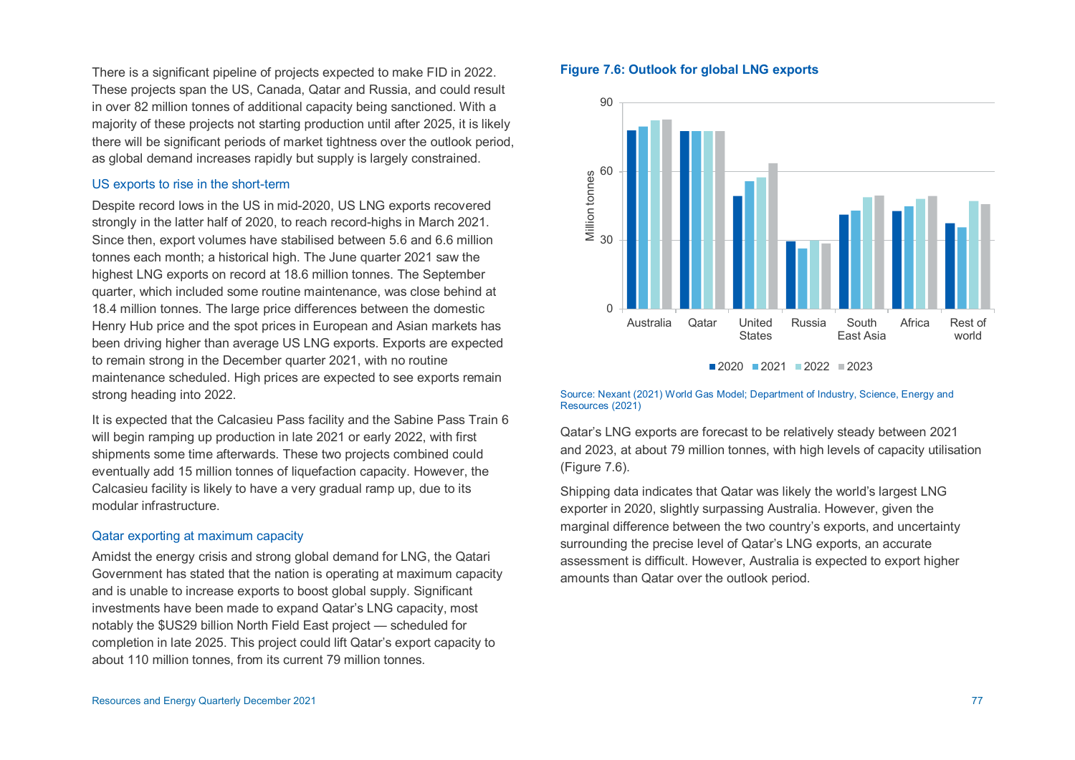There is a significant pipeline of projects expected to make FID in 2022. These projects span the US, Canada, Qatar and Russia, and could result in over 82 million tonnes of additional capacity being sanctioned. With a majority of these projects not starting production until after 2025, it is likely there will be significant periods of market tightness over the outlook period, as global demand increases rapidly but supply is largely constrained.

#### US exports to rise in the short-term

Despite record lows in the US in mid-2020, US LNG exports recovered strongly in the latter half of 2020, to reach record-highs in March 2021. Since then, export volumes have stabilised between 5.6 and 6.6 million tonnes each month; a historical high. The June quarter 2021 saw the highest LNG exports on record at 18.6 million tonnes. The September quarter, which included some routine maintenance, was close behind at 18.4 million tonnes. The large price differences between the domestic Henry Hub price and the spot prices in European and Asian markets has been driving higher than average US LNG exports. Exports are expected to remain strong in the December quarter 2021, with no routine maintenance scheduled. High prices are expected to see exports remain strong heading into 2022.

It is expected that the Calcasieu Pass facility and the Sabine Pass Train 6 will begin ramping up production in late 2021 or early 2022, with first shipments some time afterwards. These two projects combined could eventually add 15 million tonnes of liquefaction capacity. However, the Calcasieu facility is likely to have a very gradual ramp up, due to its modular infrastructure.

#### Qatar exporting at maximum capacity

Amidst the energy crisis and strong global demand for LNG, the Qatari Government has stated that the nation is operating at maximum capacity and is unable to increase exports to boost global supply. Significant investments have been made to expand Qatar's LNG capacity, most notably the \$US29 billion North Field East project — scheduled for completion in late 2025. This project could lift Qatar's export capacity to about 110 million tonnes, from its current 79 million tonnes.

#### **Figure 7.6: Outlook for global LNG exports**



 $2020$  2021 2022 2023

#### Source: Nexant (2021) World Gas Model; Department of Industry, Science, Energy and Resources (2021)

Qatar's LNG exports are forecast to be relatively steady between 2021 and 2023, at about 79 million tonnes, with high levels of capacity utilisation (Figure 7.6).

Shipping data indicates that Qatar was likely the world's largest LNG exporter in 2020, slightly surpassing Australia. However, given the marginal difference between the two country's exports, and uncertainty surrounding the precise level of Qatar's LNG exports, an accurate assessment is difficult. However, Australia is expected to export higher amounts than Qatar over the outlook period.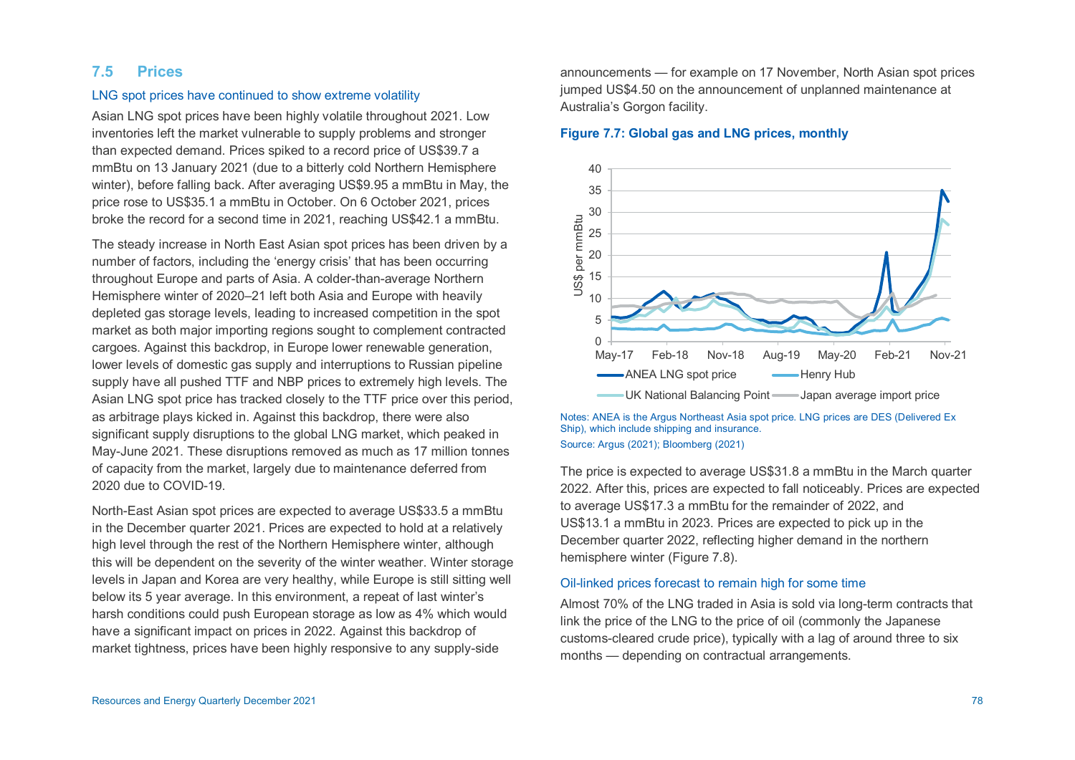# **7.5 Prices**

#### LNG spot prices have continued to show extreme volatility

Asian LNG spot prices have been highly volatile throughout 2021. Low inventories left the market vulnerable to supply problems and stronger than expected demand. Prices spiked to a record price of US\$39.7 a mmBtu on 13 January 2021 (due to a bitterly cold Northern Hemisphere winter), before falling back. After averaging US\$9.95 a mmBtu in May, the price rose to US\$35.1 a mmBtu in October. On 6 October 2021, prices broke the record for a second time in 2021, reaching US\$42.1 a mmBtu.

The steady increase in North East Asian spot prices has been driven by a number of factors, including the 'energy crisis' that has been occurring throughout Europe and parts of Asia. A colder-than-average Northern Hemisphere winter of 2020–21 left both Asia and Europe with heavily depleted gas storage levels, leading to increased competition in the spot market as both major importing regions sought to complement contracted cargoes. Against this backdrop, in Europe lower renewable generation, lower levels of domestic gas supply and interruptions to Russian pipeline supply have all pushed TTF and NBP prices to extremely high levels. The Asian LNG spot price has tracked closely to the TTF price over this period, as arbitrage plays kicked in. Against this backdrop, there were also significant supply disruptions to the global LNG market, which peaked in May-June 2021. These disruptions removed as much as 17 million tonnes of capacity from the market, largely due to maintenance deferred from 2020 due to COVID-19.

North-East Asian spot prices are expected to average US\$33.5 a mmBtu in the December quarter 2021. Prices are expected to hold at a relatively high level through the rest of the Northern Hemisphere winter, although this will be dependent on the severity of the winter weather. Winter storage levels in Japan and Korea are very healthy, while Europe is still sitting well below its 5 year average. In this environment, a repeat of last winter's harsh conditions could push European storage as low as 4% which would have a significant impact on prices in 2022. Against this backdrop of market tightness, prices have been highly responsive to any supply-side

announcements — for example on 17 November, North Asian spot prices jumped US\$4.50 on the announcement of unplanned maintenance at Australia's Gorgon facility.

## **Figure 7.7: Global gas and LNG prices, monthly**



Notes: ANEA is the Argus Northeast Asia spot price. LNG prices are DES (Delivered Ex Ship), which include shipping and insurance. Source: Argus (2021); Bloomberg (2021)

The price is expected to average US\$31.8 a mmBtu in the March quarter 2022. After this, prices are expected to fall noticeably. Prices are expected to average US\$17.3 a mmBtu for the remainder of 2022, and US\$13.1 a mmBtu in 2023. Prices are expected to pick up in the December quarter 2022, reflecting higher demand in the northern hemisphere winter (Figure 7.8).

#### Oil-linked prices forecast to remain high for some time

Almost 70% of the LNG traded in Asia is sold via long-term contracts that link the price of the LNG to the price of oil (commonly the Japanese customs-cleared crude price), typically with a lag of around three to six months — depending on contractual arrangements.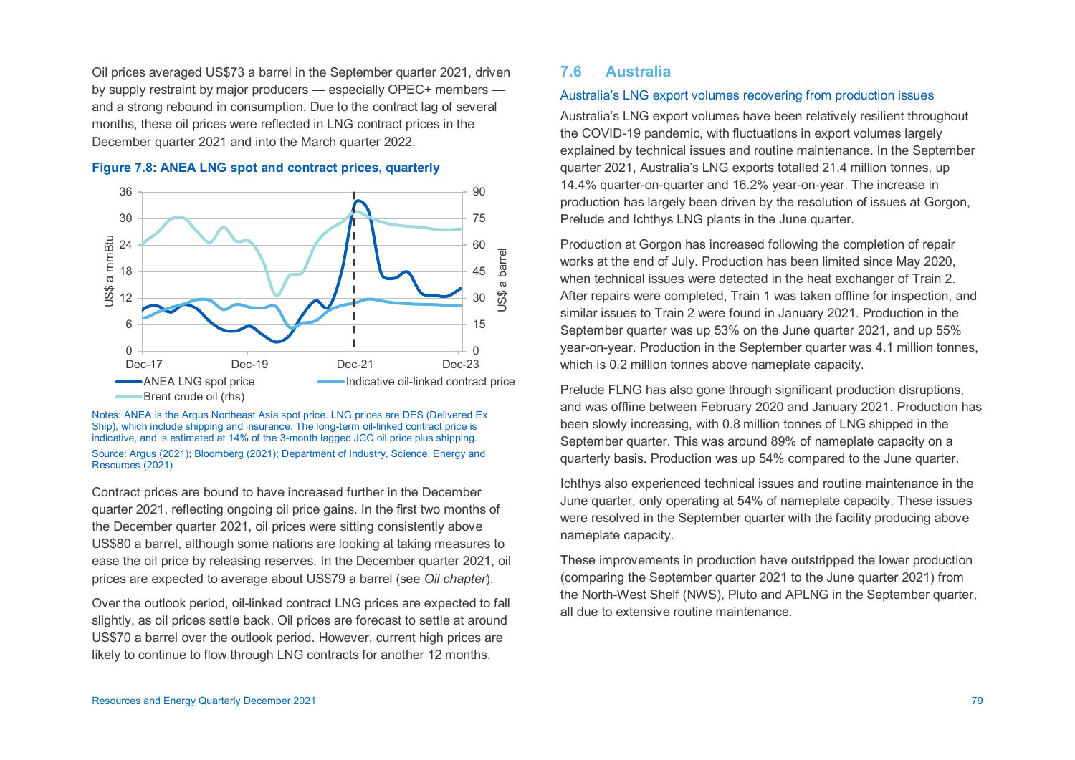Oil prices averaged US\$73 a barrel in the September quarter 2021, driven by supply restraint by major producers — especially OPEC+ members and a strong rebound in consumption. Due to the contract lag of several months, these oil prices were reflected in LNG contract prices in the December quarter 2021 and into the March quarter 2022.





Notes: ANEA is the Argus Northeast Asia spot price. LNG prices are DES (Delivered Ex Ship), which include shipping and insurance. The long-term oil-linked contract price is indicative, and is estimated at 14% of the 3-month lagged JCC oil price plus shipping. Source: Argus (2021); Bloomberg (2021); Department of Industry, Science, Energy and Resources (2021)

Contract prices are bound to have increased further in the December quarter 2021, reflecting ongoing oil price gains. In the first two months of the December quarter 2021, oil prices were sitting consistently above US\$80 a barrel, although some nations are looking at taking measures to ease the oil price by releasing reserves. In the December quarter 2021, oil prices are expected to average about US\$79 a barrel (see *Oil chapter*).

Over the outlook period, oil-linked contract LNG prices are expected to fall slightly, as oil prices settle back. Oil prices are forecast to settle at around US\$70 a barrel over the outlook period. However, current high prices are likely to continue to flow through LNG contracts for another 12 months.

# **7.6 Australia**

#### Australia's LNG export volumes recovering from production issues

Australia's LNG export volumes have been relatively resilient throughout the COVID-19 pandemic, with fluctuations in export volumes largely explained by technical issues and routine maintenance. In the September quarter 2021, Australia's LNG exports totalled 21.4 million tonnes, up 14.4% quarter-on-quarter and 16.2% year-on-year. The increase in production has largely been driven by the resolution of issues at Gorgon, Prelude and Ichthys LNG plants in the June quarter.

Production at Gorgon has increased following the completion of repair works at the end of July. Production has been limited since May 2020, when technical issues were detected in the heat exchanger of Train 2. After repairs were completed, Train 1 was taken offline for inspection, and similar issues to Train 2 were found in January 2021. Production in the September quarter was up 53% on the June quarter 2021, and up 55% year-on-year. Production in the September quarter was 4.1 million tonnes, which is 0.2 million tonnes above nameplate capacity.

Prelude FLNG has also gone through significant production disruptions, and was offline between February 2020 and January 2021. Production has been slowly increasing, with 0.8 million tonnes of LNG shipped in the September quarter. This was around 89% of nameplate capacity on a quarterly basis. Production was up 54% compared to the June quarter.

Ichthys also experienced technical issues and routine maintenance in the June quarter, only operating at 54% of nameplate capacity. These issues were resolved in the September quarter with the facility producing above nameplate capacity.

These improvements in production have outstripped the lower production (comparing the September quarter 2021 to the June quarter 2021) from the North-West Shelf (NWS), Pluto and APLNG in the September quarter, all due to extensive routine maintenance.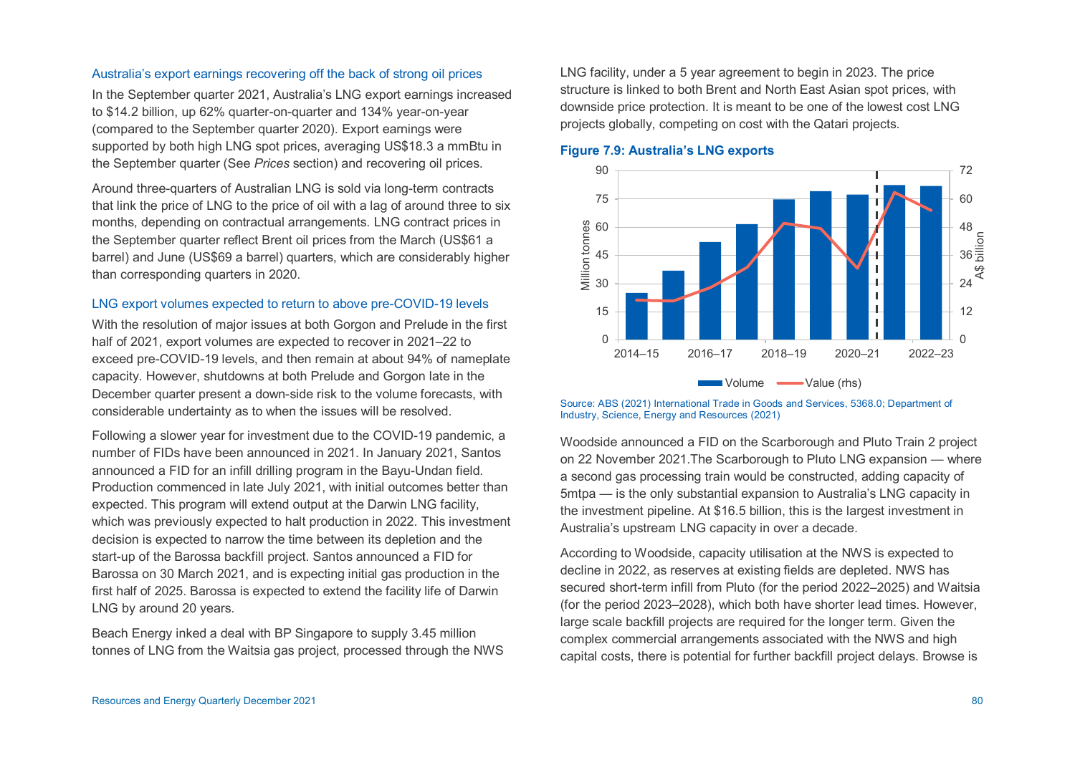#### Australia's export earnings recovering off the back of strong oil prices

In the September quarter 2021, Australia's LNG export earnings increased to \$14.2 billion, up 62% quarter-on-quarter and 134% year-on-year (compared to the September quarter 2020). Export earnings were supported by both high LNG spot prices, averaging US\$18.3 a mmBtu in the September quarter (See *Prices* section) and recovering oil prices.

Around three-quarters of Australian LNG is sold via long-term contracts that link the price of LNG to the price of oil with a lag of around three to six months, depending on contractual arrangements. LNG contract prices in the September quarter reflect Brent oil prices from the March (US\$61 a barrel) and June (US\$69 a barrel) quarters, which are considerably higher than corresponding quarters in 2020.

#### LNG export volumes expected to return to above pre-COVID-19 levels

With the resolution of major issues at both Gorgon and Prelude in the first half of 2021, export volumes are expected to recover in 2021–22 to exceed pre-COVID-19 levels, and then remain at about 94% of nameplate capacity. However, shutdowns at both Prelude and Gorgon late in the December quarter present a down-side risk to the volume forecasts, with considerable undertainty as to when the issues will be resolved.

Following a slower year for investment due to the COVID-19 pandemic, a number of FIDs have been announced in 2021. In January 2021, Santos announced a FID for an infill drilling program in the Bayu-Undan field. Production commenced in late July 2021, with initial outcomes better than expected. This program will extend output at the Darwin LNG facility, which was previously expected to halt production in 2022. This investment decision is expected to narrow the time between its depletion and the start-up of the Barossa backfill project. Santos announced a FID for Barossa on 30 March 2021, and is expecting initial gas production in the first half of 2025. Barossa is expected to extend the facility life of Darwin LNG by around 20 years.

Beach Energy inked a deal with BP Singapore to supply 3.45 million tonnes of LNG from the Waitsia gas project, processed through the NWS LNG facility, under a 5 year agreement to begin in 2023. The price structure is linked to both Brent and North East Asian spot prices, with downside price protection. It is meant to be one of the lowest cost LNG projects globally, competing on cost with the Qatari projects.



#### **Figure 7.9: Australia's LNG exports**

Source: ABS (2021) International Trade in Goods and Services, 5368.0; Department of Industry, Science, Energy and Resources (2021)

Woodside announced a FID on the Scarborough and Pluto Train 2 project on 22 November 2021.The Scarborough to Pluto LNG expansion — where a second gas processing train would be constructed, adding capacity of 5mtpa — is the only substantial expansion to Australia's LNG capacity in the investment pipeline. At \$16.5 billion, this is the largest investment in Australia's upstream LNG capacity in over a decade.

According to Woodside, capacity utilisation at the NWS is expected to decline in 2022, as reserves at existing fields are depleted. NWS has secured short-term infill from Pluto (for the period 2022–2025) and Waitsia (for the period 2023–2028), which both have shorter lead times. However, large scale backfill projects are required for the longer term. Given the complex commercial arrangements associated with the NWS and high capital costs, there is potential for further backfill project delays. Browse is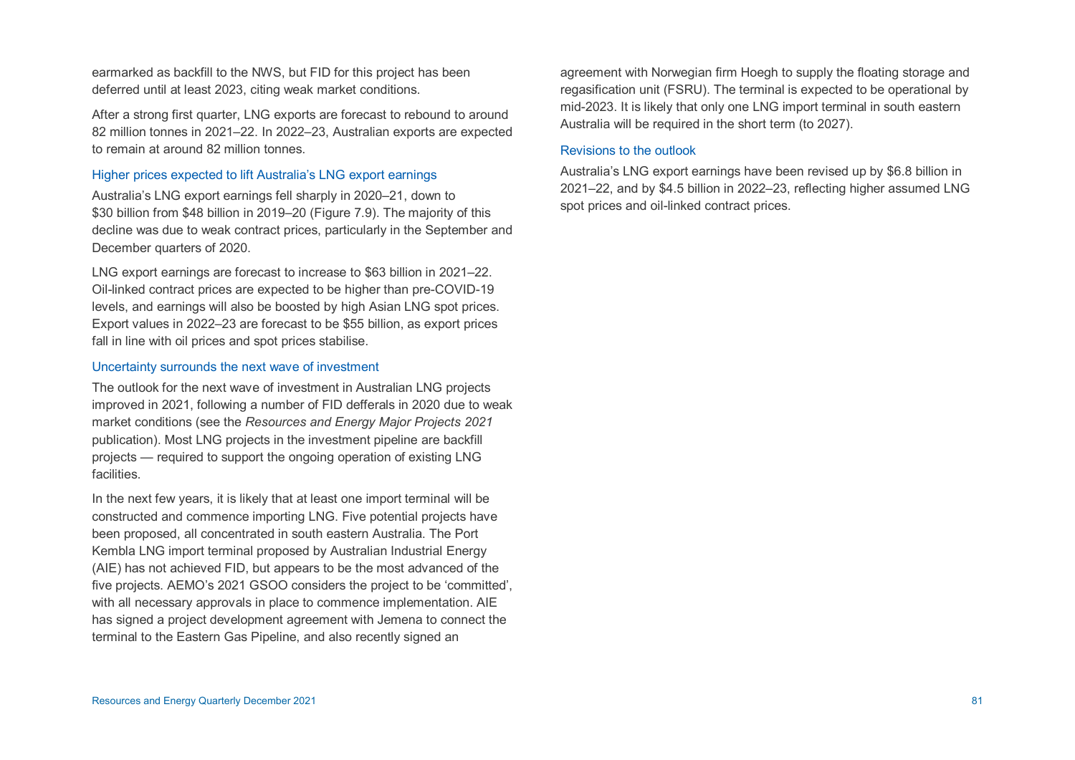earmarked as backfill to the NWS, but FID for this project has been deferred until at least 2023, citing weak market conditions.

After a strong first quarter, LNG exports are forecast to rebound to around 82 million tonnes in 2021–22. In 2022–23, Australian exports are expected to remain at around 82 million tonnes.

#### Higher prices expected to lift Australia's LNG export earnings

Australia's LNG export earnings fell sharply in 2020–21, down to \$30 billion from \$48 billion in 2019–20 (Figure 7.9). The majority of this decline was due to weak contract prices, particularly in the September and December quarters of 2020.

LNG export earnings are forecast to increase to \$63 billion in 2021–22. Oil-linked contract prices are expected to be higher than pre-COVID-19 levels, and earnings will also be boosted by high Asian LNG spot prices. Export values in 2022–23 are forecast to be \$55 billion, as export prices fall in line with oil prices and spot prices stabilise.

#### Uncertainty surrounds the next wave of investment

The outlook for the next wave of investment in Australian LNG projects improved in 2021, following a number of FID defferals in 2020 due to weak market conditions (see the *Resources and Energy Major Projects 2021* publication). Most LNG projects in the investment pipeline are backfill projects — required to support the ongoing operation of existing LNG facilities.

In the next few years, it is likely that at least one import terminal will be constructed and commence importing LNG. Five potential projects have been proposed, all concentrated in south eastern Australia. The Port Kembla LNG import terminal proposed by Australian Industrial Energy (AIE) has not achieved FID, but appears to be the most advanced of the five projects. AEMO's 2021 GSOO considers the project to be 'committed', with all necessary approvals in place to commence implementation. AIE has signed a project development agreement with Jemena to connect the terminal to the Eastern Gas Pipeline, and also recently signed an

agreement with Norwegian firm Hoegh to supply the floating storage and regasification unit (FSRU). The terminal is expected to be operational by mid-2023. It is likely that only one LNG import terminal in south eastern Australia will be required in the short term (to 2027).

#### Revisions to the outlook

Australia's LNG export earnings have been revised up by \$6.8 billion in 2021–22, and by \$4.5 billion in 2022–23, reflecting higher assumed LNG spot prices and oil-linked contract prices.